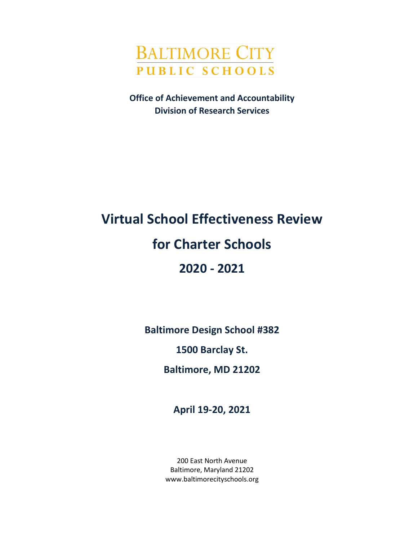

**Office of Achievement and Accountability Division of Research Services**

# **Virtual School Effectiveness Review for Charter Schools 2020 - 2021**

**Baltimore Design School #382**

**1500 Barclay St.**

**Baltimore, MD 21202**

**April 19-20, 2021**

200 East North Avenue Baltimore, Maryland 21202 www.baltimorecityschools.org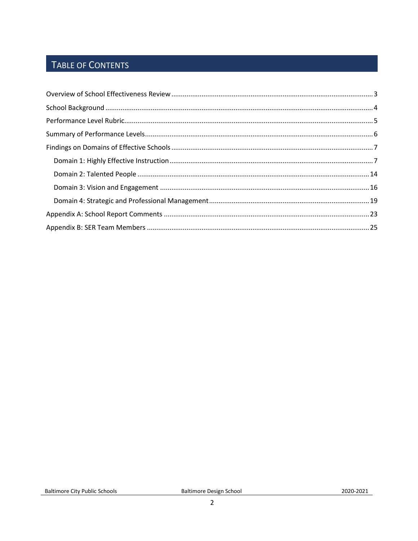### TABLE OF CONTENTS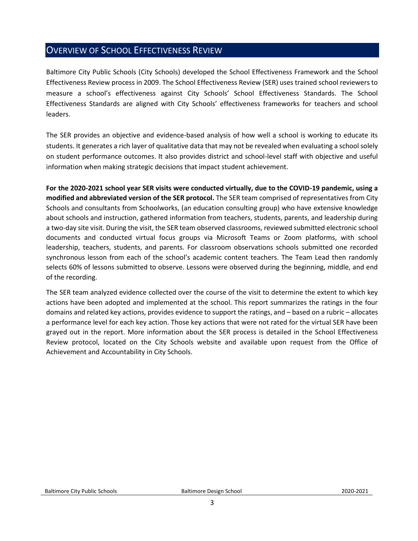#### <span id="page-2-0"></span>OVERVIEW OF SCHOOL EFFECTIVENESS REVIEW

Baltimore City Public Schools (City Schools) developed the School Effectiveness Framework and the School Effectiveness Review process in 2009. The School Effectiveness Review (SER) uses trained school reviewers to measure a school's effectiveness against City Schools' School Effectiveness Standards. The School Effectiveness Standards are aligned with City Schools' effectiveness frameworks for teachers and school leaders.

The SER provides an objective and evidence-based analysis of how well a school is working to educate its students. It generates a rich layer of qualitative data that may not be revealed when evaluating a school solely on student performance outcomes. It also provides district and school-level staff with objective and useful information when making strategic decisions that impact student achievement.

**For the 2020-2021 school year SER visits were conducted virtually, due to the COVID-19 pandemic, using a modified and abbreviated version of the SER protocol.** The SER team comprised of representatives from City Schools and consultants from Schoolworks, (an education consulting group) who have extensive knowledge about schools and instruction, gathered information from teachers, students, parents, and leadership during a two-day site visit. During the visit, the SER team observed classrooms, reviewed submitted electronic school documents and conducted virtual focus groups via Microsoft Teams or Zoom platforms, with school leadership, teachers, students, and parents. For classroom observations schools submitted one recorded synchronous lesson from each of the school's academic content teachers. The Team Lead then randomly selects 60% of lessons submitted to observe. Lessons were observed during the beginning, middle, and end of the recording.

The SER team analyzed evidence collected over the course of the visit to determine the extent to which key actions have been adopted and implemented at the school. This report summarizes the ratings in the four domains and related key actions, provides evidence to support the ratings, and – based on a rubric – allocates a performance level for each key action. Those key actions that were not rated for the virtual SER have been grayed out in the report. More information about the SER process is detailed in the School Effectiveness Review protocol, located on the City Schools website and available upon request from the Office of Achievement and Accountability in City Schools.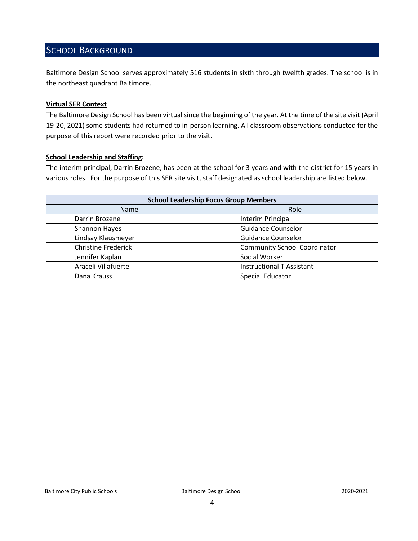#### <span id="page-3-0"></span>SCHOOL BACKGROUND

Baltimore Design School serves approximately 516 students in sixth through twelfth grades. The school is in the northeast quadrant Baltimore.

#### **Virtual SER Context**

The Baltimore Design School has been virtual since the beginning of the year. At the time of the site visit (April 19-20, 2021) some students had returned to in-person learning. All classroom observations conducted for the purpose of this report were recorded prior to the visit.

#### **School Leadership and Staffing:**

The interim principal, Darrin Brozene, has been at the school for 3 years and with the district for 15 years in various roles. For the purpose of this SER site visit, staff designated as school leadership are listed below.

<span id="page-3-1"></span>

| <b>School Leadership Focus Group Members</b> |                                     |  |
|----------------------------------------------|-------------------------------------|--|
| Name                                         | Role                                |  |
| Darrin Brozene                               | Interim Principal                   |  |
| <b>Shannon Hayes</b>                         | <b>Guidance Counselor</b>           |  |
| Lindsay Klausmeyer                           | <b>Guidance Counselor</b>           |  |
| <b>Christine Frederick</b>                   | <b>Community School Coordinator</b> |  |
| Jennifer Kaplan                              | Social Worker                       |  |
| Araceli Villafuerte                          | <b>Instructional T Assistant</b>    |  |
| Dana Krauss                                  | <b>Special Educator</b>             |  |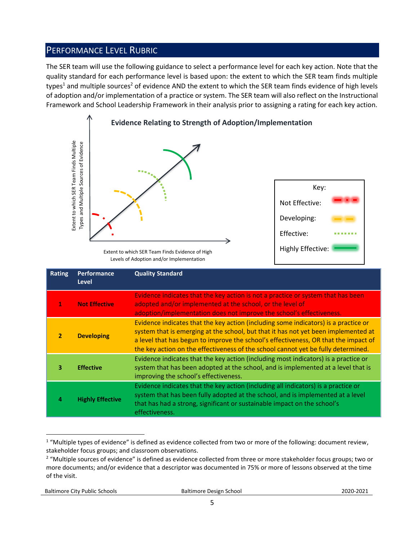#### PERFORMANCE LEVEL RUBRIC

The SER team will use the following guidance to select a performance level for each key action. Note that the quality standard for each performance level is based upon: the extent to which the SER team finds multiple types<sup>1</sup> and multiple sources<sup>2</sup> of evidence AND the extent to which the SER team finds evidence of high levels of adoption and/or implementation of a practice or system. The SER team will also reflect on the Instructional Framework and School Leadership Framework in their analysis prior to assigning a rating for each key action.



Levels of Adoption and/or Implementation

|                | Extent to which SER Team Finds Multiple<br>Types and Multiple Sources of Evidence | Extent to which SER Team Finds Evidence of High<br>Levels of Adoption and/or Implementation                                                                                                                                                                                                                                                                                                                                                    | Key:<br>Not Effective:<br>Developing:<br>Effective:<br><b>Highly Effective:</b> |  |
|----------------|-----------------------------------------------------------------------------------|------------------------------------------------------------------------------------------------------------------------------------------------------------------------------------------------------------------------------------------------------------------------------------------------------------------------------------------------------------------------------------------------------------------------------------------------|---------------------------------------------------------------------------------|--|
| <b>Rating</b>  | Performance<br><b>Level</b>                                                       | <b>Quality Standard</b>                                                                                                                                                                                                                                                                                                                                                                                                                        |                                                                                 |  |
| $\mathbf{1}$   | <b>Not Effective</b>                                                              | Evidence indicates that the key action is not a practice or system that has been<br>adopted and/or implemented at the school, or the level of<br>adoption/implementation does not improve the school's effectiveness.                                                                                                                                                                                                                          |                                                                                 |  |
| $\overline{2}$ | <b>Developing</b>                                                                 | Evidence indicates that the key action (including some indicators) is a practice or<br>system that is emerging at the school, but that it has not yet been implemented at<br>a level that has begun to improve the school's effectiveness, OR that the impact of<br>the key action on the effectiveness of the school cannot yet be fully determined.                                                                                          |                                                                                 |  |
| 3              | <b>Effective</b>                                                                  | Evidence indicates that the key action (including most indicators) is a practice or<br>system that has been adopted at the school, and is implemented at a level that is<br>improving the school's effectiveness.                                                                                                                                                                                                                              |                                                                                 |  |
| 4              | <b>Highly Effective</b>                                                           | Evidence indicates that the key action (including all indicators) is a practice or<br>system that has been fully adopted at the school, and is implemented at a level<br>that has had a strong, significant or sustainable impact on the school's<br>effectiveness.                                                                                                                                                                            |                                                                                 |  |
| of the visit.  |                                                                                   | <sup>1</sup> "Multiple types of evidence" is defined as evidence collected from two or more of the following: document review,<br>stakeholder focus groups; and classroom observations.<br><sup>2</sup> "Multiple sources of evidence" is defined as evidence collected from three or more stakeholder focus groups; two or<br>more documents; and/or evidence that a descriptor was documented in 75% or more of lessons observed at the time |                                                                                 |  |

 $\overline{a}$  $1$  "Multiple types of evidence" is defined as evidence collected from two or more of the following: document review, stakeholder focus groups; and classroom observations.

<sup>&</sup>lt;sup>2</sup> "Multiple sources of evidence" is defined as evidence collected from three or more stakeholder focus groups; two or more documents; and/or evidence that a descriptor was documented in 75% or more of lessons observed at the time of the visit.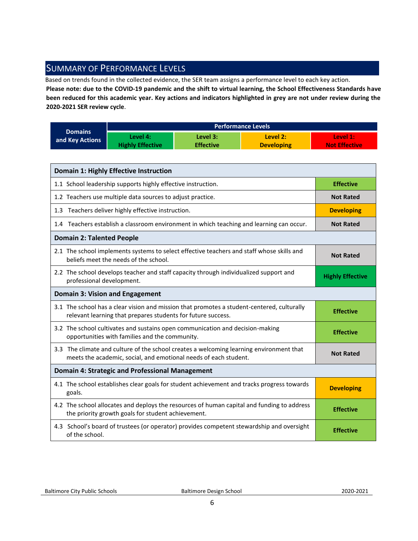#### <span id="page-5-0"></span>SUMMARY OF PERFORMANCE LEVELS

Based on trends found in the collected evidence, the SER team assigns a performance level to each key action.

**Please note: due to the COVID-19 pandemic and the shift to virtual learning, the School Effectiveness Standards have been reduced for this academic year. Key actions and indicators highlighted in grey are not under review during the 2020-2021 SER review cycle**.

|                 | <b>Performance Levels</b> |                  |                   |                      |  |
|-----------------|---------------------------|------------------|-------------------|----------------------|--|
| <b>Domains</b>  | Level 4:                  | Level 3:         | Level 2:          | Level 1:             |  |
| and Key Actions | <b>Highly Effective</b>   | <b>Effective</b> | <b>Developing</b> | <b>Not Effective</b> |  |

| <b>Domain 1: Highly Effective Instruction</b>                                                                                                               |                         |
|-------------------------------------------------------------------------------------------------------------------------------------------------------------|-------------------------|
| 1.1 School leadership supports highly effective instruction.                                                                                                | <b>Effective</b>        |
| 1.2 Teachers use multiple data sources to adjust practice.                                                                                                  | <b>Not Rated</b>        |
| 1.3 Teachers deliver highly effective instruction.                                                                                                          | <b>Developing</b>       |
| 1.4 Teachers establish a classroom environment in which teaching and learning can occur.                                                                    | <b>Not Rated</b>        |
| <b>Domain 2: Talented People</b>                                                                                                                            |                         |
| 2.1 The school implements systems to select effective teachers and staff whose skills and<br>beliefs meet the needs of the school.                          | <b>Not Rated</b>        |
| 2.2 The school develops teacher and staff capacity through individualized support and<br>professional development.                                          | <b>Highly Effective</b> |
| <b>Domain 3: Vision and Engagement</b>                                                                                                                      |                         |
| 3.1 The school has a clear vision and mission that promotes a student-centered, culturally<br>relevant learning that prepares students for future success.  | <b>Effective</b>        |
| 3.2 The school cultivates and sustains open communication and decision-making<br>opportunities with families and the community.                             | <b>Effective</b>        |
| 3.3 The climate and culture of the school creates a welcoming learning environment that<br>meets the academic, social, and emotional needs of each student. | <b>Not Rated</b>        |
| <b>Domain 4: Strategic and Professional Management</b>                                                                                                      |                         |
| 4.1 The school establishes clear goals for student achievement and tracks progress towards<br>goals.                                                        | <b>Developing</b>       |
| 4.2 The school allocates and deploys the resources of human capital and funding to address<br>the priority growth goals for student achievement.            | <b>Effective</b>        |
| 4.3 School's board of trustees (or operator) provides competent stewardship and oversight<br>of the school.                                                 | <b>Effective</b>        |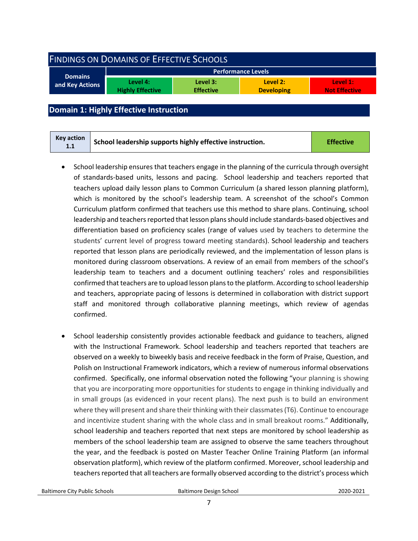<span id="page-6-0"></span>

| <b>FINDINGS ON DOMAINS OF EFFECTIVE SCHOOLS</b> |                                     |                              |                               |                                  |  |
|-------------------------------------------------|-------------------------------------|------------------------------|-------------------------------|----------------------------------|--|
|                                                 | <b>Performance Levels</b>           |                              |                               |                                  |  |
| <b>Domains</b><br>and Key Actions               | Level 4:<br><b>Highly Effective</b> | Level 3:<br><b>Effective</b> | Level 2:<br><b>Developing</b> | Level 1:<br><b>Not Effective</b> |  |
|                                                 |                                     |                              |                               |                                  |  |

#### <span id="page-6-1"></span>**Domain 1: Highly Effective Instruction**

| <b>Key action</b><br>1.1 | School leadership supports highly effective instruction. | <b>Effective</b> |
|--------------------------|----------------------------------------------------------|------------------|
|--------------------------|----------------------------------------------------------|------------------|

- School leadership ensures that teachers engage in the planning of the curricula through oversight of standards-based units, lessons and pacing. School leadership and teachers reported that teachers upload daily lesson plans to Common Curriculum (a shared lesson planning platform), which is monitored by the school's leadership team. A screenshot of the school's Common Curriculum platform confirmed that teachers use this method to share plans. Continuing, school leadership and teachers reported that lesson plans should include standards-based objectives and differentiation based on proficiency scales (range of values used by teachers to determine the students' current level of progress toward meeting standards). School leadership and teachers reported that lesson plans are periodically reviewed, and the implementation of lesson plans is monitored during classroom observations. A review of an email from members of the school's leadership team to teachers and a document outlining teachers' roles and responsibilities confirmed that teachers are to upload lesson plans to the platform. According to school leadership and teachers, appropriate pacing of lessons is determined in collaboration with district support staff and monitored through collaborative planning meetings, which review of agendas confirmed.
- School leadership consistently provides actionable feedback and guidance to teachers, aligned with the Instructional Framework. School leadership and teachers reported that teachers are observed on a weekly to biweekly basis and receive feedback in the form of Praise, Question, and Polish on Instructional Framework indicators, which a review of numerous informal observations confirmed. Specifically, one informal observation noted the following "your planning is showing that you are incorporating more opportunities for students to engage in thinking individually and in small groups (as evidenced in your recent plans). The next push is to build an environment where they will present and share their thinking with their classmates (T6). Continue to encourage and incentivize student sharing with the whole class and in small breakout rooms." Additionally, school leadership and teachers reported that next steps are monitored by school leadership as members of the school leadership team are assigned to observe the same teachers throughout the year, and the feedback is posted on Master Teacher Online Training Platform (an informal observation platform), which review of the platform confirmed. Moreover, school leadership and teachers reported that all teachers are formally observed according to the district's process which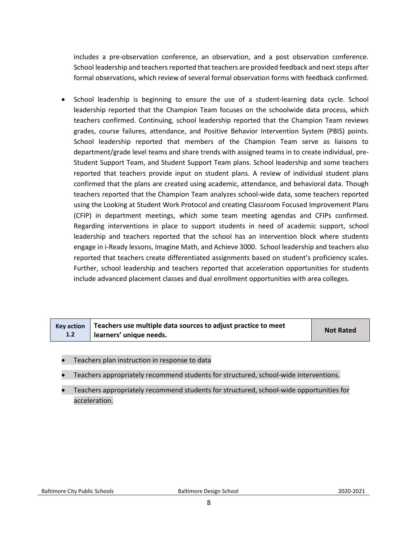includes a pre-observation conference, an observation, and a post observation conference. School leadership and teachers reported that teachers are provided feedback and next steps after formal observations, which review of several formal observation forms with feedback confirmed.

• School leadership is beginning to ensure the use of a student-learning data cycle. School leadership reported that the Champion Team focuses on the schoolwide data process, which teachers confirmed. Continuing, school leadership reported that the Champion Team reviews grades, course failures, attendance, and Positive Behavior Intervention System (PBIS) points. School leadership reported that members of the Champion Team serve as liaisons to department/grade level teams and share trends with assigned teams in to create individual, pre-Student Support Team, and Student Support Team plans. School leadership and some teachers reported that teachers provide input on student plans. A review of individual student plans confirmed that the plans are created using academic, attendance, and behavioral data. Though teachers reported that the Champion Team analyzes school-wide data, some teachers reported using the Looking at Student Work Protocol and creating Classroom Focused Improvement Plans (CFIP) in department meetings, which some team meeting agendas and CFIPs confirmed. Regarding interventions in place to support students in need of academic support, school leadership and teachers reported that the school has an intervention block where students engage in i-Ready lessons, Imagine Math, and Achieve 3000. School leadership and teachers also reported that teachers create differentiated assignments based on student's proficiency scales. Further, school leadership and teachers reported that acceleration opportunities for students include advanced placement classes and dual enrollment opportunities with area colleges.

|     | Key action $\vert$ Teachers use multiple data sources to adjust practice to meet | <b>Not Rated</b> |
|-----|----------------------------------------------------------------------------------|------------------|
| 1.2 | learners' unique needs.                                                          |                  |

- Teachers plan instruction in response to data
- Teachers appropriately recommend students for structured, school-wide interventions.
- Teachers appropriately recommend students for structured, school-wide opportunities for acceleration.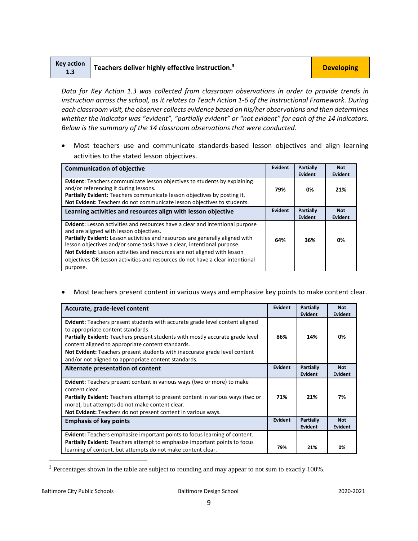| <b>Key action</b><br>1.3 | $\blacktriangle$ Teachers deliver highly effective instruction. <sup>3</sup> | <b>Developing</b> |
|--------------------------|------------------------------------------------------------------------------|-------------------|
|--------------------------|------------------------------------------------------------------------------|-------------------|

*Data for Key Action 1.3 was collected from classroom observations in order to provide trends in instruction across the school, as it relates to Teach Action 1-6 of the Instructional Framework. During each classroom visit, the observer collects evidence based on his/her observations and then determines*  whether the indicator was "evident", "partially evident" or "not evident" for each of the 14 indicators. *Below is the summary of the 14 classroom observations that were conducted.* 

• Most teachers use and communicate standards-based lesson objectives and align learning activities to the stated lesson objectives.

| <b>Communication of objective</b>                                                                                                                                                                                                                                                                                                                                                                                                                            | Evident | Partially<br>Evident        | <b>Not</b><br>Evident |
|--------------------------------------------------------------------------------------------------------------------------------------------------------------------------------------------------------------------------------------------------------------------------------------------------------------------------------------------------------------------------------------------------------------------------------------------------------------|---------|-----------------------------|-----------------------|
| <b>Evident:</b> Teachers communicate lesson objectives to students by explaining<br>and/or referencing it during lessons.<br>Partially Evident: Teachers communicate lesson objectives by posting it.<br>Not Evident: Teachers do not communicate lesson objectives to students.                                                                                                                                                                             | 79%     | 0%                          | 21%                   |
| Learning activities and resources align with lesson objective                                                                                                                                                                                                                                                                                                                                                                                                | Evident | <b>Partially</b><br>Evident | <b>Not</b><br>Evident |
| Evident: Lesson activities and resources have a clear and intentional purpose<br>and are aligned with lesson objectives.<br>Partially Evident: Lesson activities and resources are generally aligned with<br>lesson objectives and/or some tasks have a clear, intentional purpose.<br>Not Evident: Lesson activities and resources are not aligned with lesson<br>objectives OR Lesson activities and resources do not have a clear intentional<br>purpose. | 64%     | 36%                         | 0%                    |

• Most teachers present content in various ways and emphasize key points to make content clear.

| Accurate, grade-level content                                                                                                                                                                                                                                                                                                                                                                               | Evident | Partially<br>Evident        | <b>Not</b><br><b>Evident</b> |
|-------------------------------------------------------------------------------------------------------------------------------------------------------------------------------------------------------------------------------------------------------------------------------------------------------------------------------------------------------------------------------------------------------------|---------|-----------------------------|------------------------------|
| <b>Evident:</b> Teachers present students with accurate grade level content aligned<br>to appropriate content standards.<br><b>Partially Evident:</b> Teachers present students with mostly accurate grade level<br>content aligned to appropriate content standards.<br>Not Evident: Teachers present students with inaccurate grade level content<br>and/or not aligned to appropriate content standards. | 86%     | 14%                         | 0%                           |
| Alternate presentation of content                                                                                                                                                                                                                                                                                                                                                                           | Evident | Partially<br>Evident        | <b>Not</b><br><b>Evident</b> |
| Evident: Teachers present content in various ways (two or more) to make<br>content clear.<br><b>Partially Evident:</b> Teachers attempt to present content in various ways (two or<br>more), but attempts do not make content clear.<br>Not Evident: Teachers do not present content in various ways.                                                                                                       | 71%     | 21%                         | 7%                           |
| <b>Emphasis of key points</b>                                                                                                                                                                                                                                                                                                                                                                               | Evident | Partially<br><b>Evident</b> | <b>Not</b><br><b>Evident</b> |
| <b>Evident:</b> Teachers emphasize important points to focus learning of content.<br><b>Partially Evident:</b> Teachers attempt to emphasize important points to focus<br>learning of content, but attempts do not make content clear.                                                                                                                                                                      | 79%     | 21%                         | 0%                           |

<sup>&</sup>lt;sup>3</sup> Percentages shown in the table are subject to rounding and may appear to not sum to exactly 100%.

l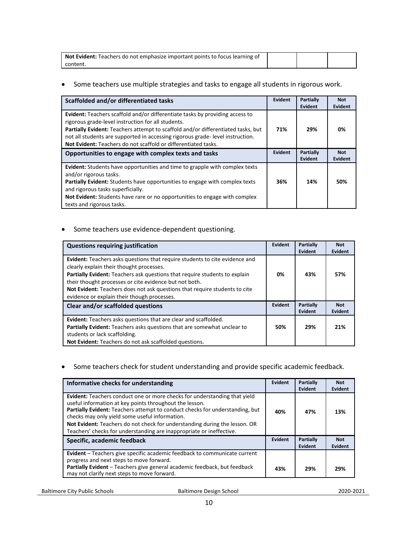| <b>Not Evident:</b> Teachers do not emphasize important points to focus learning of |  |  |
|-------------------------------------------------------------------------------------|--|--|
| .content                                                                            |  |  |

#### • Some teachers use multiple strategies and tasks to engage all students in rigorous work.

| Scaffolded and/or differentiated tasks                                                                                                                                                                                                                                                                                                                                           | Evident | Partially<br><b>Evident</b> | <b>Not</b><br>Evident |
|----------------------------------------------------------------------------------------------------------------------------------------------------------------------------------------------------------------------------------------------------------------------------------------------------------------------------------------------------------------------------------|---------|-----------------------------|-----------------------|
| Evident: Teachers scaffold and/or differentiate tasks by providing access to<br>rigorous grade-level instruction for all students.<br>Partially Evident: Teachers attempt to scaffold and/or differentiated tasks, but<br>not all students are supported in accessing rigorous grade-level instruction.<br><b>Not Evident:</b> Teachers do not scaffold or differentiated tasks. | 71%     | 29%                         | 0%                    |
| Opportunities to engage with complex texts and tasks                                                                                                                                                                                                                                                                                                                             | Evident | <b>Partially</b><br>Evident | <b>Not</b><br>Evident |
| <b>Evident:</b> Students have opportunities and time to grapple with complex texts<br>and/or rigorous tasks.<br>Partially Evident: Students have opportunities to engage with complex texts<br>and rigorous tasks superficially.<br><b>Not Evident:</b> Students have rare or no opportunities to engage with complex<br>texts and rigorous tasks.                               | 36%     | 14%                         | 50%                   |

#### • Some teachers use evidence-dependent questioning.

| <b>Questions requiring justification</b>                                                                                                                                                                                                                                                                                                                                                     | Evident | <b>Partially</b><br>Evident | <b>Not</b><br>Evident |
|----------------------------------------------------------------------------------------------------------------------------------------------------------------------------------------------------------------------------------------------------------------------------------------------------------------------------------------------------------------------------------------------|---------|-----------------------------|-----------------------|
| Evident: Teachers asks questions that require students to cite evidence and<br>clearly explain their thought processes.<br>Partially Evident: Teachers ask questions that require students to explain<br>their thought processes or cite evidence but not both.<br>Not Evident: Teachers does not ask questions that require students to cite<br>evidence or explain their though processes. | 0%      | 43%                         | 57%                   |
| Clear and/or scaffolded questions                                                                                                                                                                                                                                                                                                                                                            |         | <b>Partially</b><br>Evident | <b>Not</b><br>Evident |
| <b>Evident:</b> Teachers asks questions that are clear and scaffolded.<br>Partially Evident: Teachers asks questions that are somewhat unclear to<br>students or lack scaffolding.<br>Not Evident: Teachers do not ask scaffolded questions.                                                                                                                                                 | 50%     | 29%                         | 21%                   |

#### • Some teachers check for student understanding and provide specific academic feedback.

| Informative checks for understanding                                                                                                                                                                                                                                                                                                                                                                                         | Evident | Partially<br>Evident | <b>Not</b><br>Evident |
|------------------------------------------------------------------------------------------------------------------------------------------------------------------------------------------------------------------------------------------------------------------------------------------------------------------------------------------------------------------------------------------------------------------------------|---------|----------------------|-----------------------|
| Evident: Teachers conduct one or more checks for understanding that yield<br>useful information at key points throughout the lesson.<br>Partially Evident: Teachers attempt to conduct checks for understanding, but<br>checks may only yield some useful information.<br>Not Evident: Teachers do not check for understanding during the lesson. OR<br>Teachers' checks for understanding are inappropriate or ineffective. | 40%     | 47%                  | 13%                   |
| Specific, academic feedback                                                                                                                                                                                                                                                                                                                                                                                                  |         | Partially<br>Evident | <b>Not</b><br>Evident |
| Evident - Teachers give specific academic feedback to communicate current<br>progress and next steps to move forward.<br>Partially Evident - Teachers give general academic feedback, but feedback<br>may not clarify next steps to move forward.                                                                                                                                                                            | 43%     | 29%                  | 29%                   |

Baltimore City Public Schools **Baltimore Design School 2020-2021**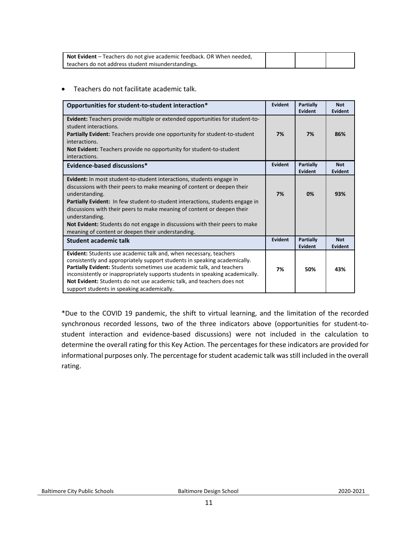| Not Evident - Teachers do not give academic feedback. OR When needed, |  |  |
|-----------------------------------------------------------------------|--|--|
| teachers do not address student misunderstandings.                    |  |  |

#### • Teachers do not facilitate academic talk.

| Opportunities for student-to-student interaction*                                                                                                                                                                                                                                                                                                                                                                               | <b>Evident</b> | Partially<br>Evident | <b>Not</b><br><b>Evident</b> |
|---------------------------------------------------------------------------------------------------------------------------------------------------------------------------------------------------------------------------------------------------------------------------------------------------------------------------------------------------------------------------------------------------------------------------------|----------------|----------------------|------------------------------|
| <b>Evident:</b> Teachers provide multiple or extended opportunities for student-to-<br>student interactions.<br><b>Partially Evident:</b> Teachers provide one opportunity for student-to-student                                                                                                                                                                                                                               | 7%             | 7%                   | 86%                          |
| interactions.<br>Not Evident: Teachers provide no opportunity for student-to-student<br>interactions.                                                                                                                                                                                                                                                                                                                           |                |                      |                              |
| Evidence-based discussions*                                                                                                                                                                                                                                                                                                                                                                                                     | <b>Evident</b> | Partially<br>Evident | <b>Not</b><br><b>Evident</b> |
| Evident: In most student-to-student interactions, students engage in<br>discussions with their peers to make meaning of content or deepen their<br>understanding.<br>Partially Evident: In few student-to-student interactions, students engage in<br>discussions with their peers to make meaning of content or deepen their<br>understanding.<br>Not Evident: Students do not engage in discussions with their peers to make  | 7%             | 0%                   | 93%                          |
| meaning of content or deepen their understanding.                                                                                                                                                                                                                                                                                                                                                                               |                |                      |                              |
| Student academic talk                                                                                                                                                                                                                                                                                                                                                                                                           | <b>Evident</b> | Partially<br>Evident | <b>Not</b><br><b>Evident</b> |
| Evident: Students use academic talk and, when necessary, teachers<br>consistently and appropriately support students in speaking academically.<br>Partially Evident: Students sometimes use academic talk, and teachers<br>inconsistently or inappropriately supports students in speaking academically.<br>Not Evident: Students do not use academic talk, and teachers does not<br>support students in speaking academically. | 7%             | 50%                  | 43%                          |

\*Due to the COVID 19 pandemic, the shift to virtual learning, and the limitation of the recorded synchronous recorded lessons, two of the three indicators above (opportunities for student-tostudent interaction and evidence-based discussions) were not included in the calculation to determine the overall rating for this Key Action. The percentages for these indicators are provided for informational purposes only. The percentage for student academic talk was still included in the overall rating.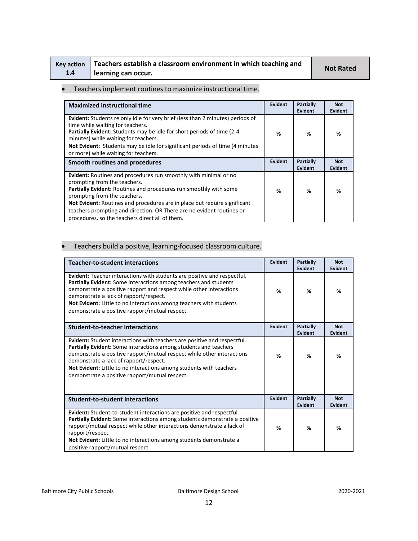| Key action |  |
|------------|--|
| 1.4        |  |

## **Teachers establish a classroom environment in which teaching and learning can occur. Not Rated**

#### • Teachers implement routines to maximize instructional time.

| <b>Maximized instructional time</b>                                                                                                                                                                                                                                                                                                                                                                                   | Evident | Partially<br><b>Evident</b> | <b>Not</b><br>Evident        |
|-----------------------------------------------------------------------------------------------------------------------------------------------------------------------------------------------------------------------------------------------------------------------------------------------------------------------------------------------------------------------------------------------------------------------|---------|-----------------------------|------------------------------|
| Evident: Students re only idle for very brief (less than 2 minutes) periods of<br>time while waiting for teachers.<br><b>Partially Evident:</b> Students may be idle for short periods of time (2-4)<br>minutes) while waiting for teachers.                                                                                                                                                                          | %       | %                           | %                            |
| Not Evident: Students may be idle for significant periods of time (4 minutes)<br>or more) while waiting for teachers.                                                                                                                                                                                                                                                                                                 |         |                             |                              |
| Smooth routines and procedures                                                                                                                                                                                                                                                                                                                                                                                        | Evident | Partially<br><b>Evident</b> | <b>Not</b><br><b>Evident</b> |
| Evident: Routines and procedures run smoothly with minimal or no<br>prompting from the teachers.<br>Partially Evident: Routines and procedures run smoothly with some<br>prompting from the teachers.<br><b>Not Evident:</b> Routines and procedures are in place but require significant<br>teachers prompting and direction. OR There are no evident routines or<br>procedures, so the teachers direct all of them. | %       | %                           | %                            |

#### • Teachers build a positive, learning-focused classroom culture.

| <b>Teacher-to-student interactions</b>                                                                                                                                                                                                                                                                                                                                                           | Evident        | <b>Partially</b><br>Evident | <b>Not</b><br><b>Evident</b> |
|--------------------------------------------------------------------------------------------------------------------------------------------------------------------------------------------------------------------------------------------------------------------------------------------------------------------------------------------------------------------------------------------------|----------------|-----------------------------|------------------------------|
| <b>Evident:</b> Teacher interactions with students are positive and respectful.<br>Partially Evident: Some interactions among teachers and students<br>demonstrate a positive rapport and respect while other interactions<br>demonstrate a lack of rapport/respect.<br>Not Evident: Little to no interactions among teachers with students<br>demonstrate a positive rapport/mutual respect.    | %              | ℅                           | %                            |
| <b>Student-to-teacher interactions</b>                                                                                                                                                                                                                                                                                                                                                           | <b>Evident</b> | Partially<br><b>Evident</b> | <b>Not</b><br><b>Evident</b> |
| Evident: Student interactions with teachers are positive and respectful.<br><b>Partially Evident:</b> Some interactions among students and teachers<br>demonstrate a positive rapport/mutual respect while other interactions<br>demonstrate a lack of rapport/respect.<br>Not Evident: Little to no interactions among students with teachers<br>demonstrate a positive rapport/mutual respect. | %              | %                           | %                            |
| <b>Student-to-student interactions</b>                                                                                                                                                                                                                                                                                                                                                           | Evident        | Partially<br>Evident        | <b>Not</b><br>Evident        |
| Evident: Student-to-student interactions are positive and respectful.<br><b>Partially Evident:</b> Some interactions among students demonstrate a positive<br>rapport/mutual respect while other interactions demonstrate a lack of<br>rapport/respect.<br>Not Evident: Little to no interactions among students demonstrate a<br>positive rapport/mutual respect.                               | %              | %                           | %                            |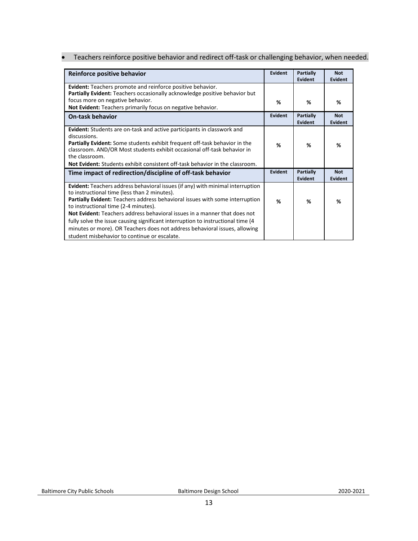• Teachers reinforce positive behavior and redirect off-task or challenging behavior, when needed.

| Reinforce positive behavior                                                                                                                                                                                                                                                                                                                                                                                                                                                                                                                                  | <b>Evident</b> | <b>Partially</b><br>Evident | <b>Not</b><br>Evident        |
|--------------------------------------------------------------------------------------------------------------------------------------------------------------------------------------------------------------------------------------------------------------------------------------------------------------------------------------------------------------------------------------------------------------------------------------------------------------------------------------------------------------------------------------------------------------|----------------|-----------------------------|------------------------------|
| <b>Evident:</b> Teachers promote and reinforce positive behavior.<br>Partially Evident: Teachers occasionally acknowledge positive behavior but                                                                                                                                                                                                                                                                                                                                                                                                              |                |                             |                              |
| focus more on negative behavior.<br>Not Evident: Teachers primarily focus on negative behavior.                                                                                                                                                                                                                                                                                                                                                                                                                                                              | %              | %                           | %                            |
| <b>On-task behavior</b>                                                                                                                                                                                                                                                                                                                                                                                                                                                                                                                                      | Evident        | <b>Partially</b><br>Evident | <b>Not</b><br><b>Evident</b> |
| <b>Evident:</b> Students are on-task and active participants in classwork and<br>discussions.<br><b>Partially Evident:</b> Some students exhibit frequent off-task behavior in the<br>classroom. AND/OR Most students exhibit occasional off-task behavior in<br>the classroom.<br><b>Not Evident:</b> Students exhibit consistent off-task behavior in the classroom.                                                                                                                                                                                       | %              | %                           | %                            |
| Time impact of redirection/discipline of off-task behavior                                                                                                                                                                                                                                                                                                                                                                                                                                                                                                   | Evident        | <b>Partially</b><br>Evident | <b>Not</b><br><b>Evident</b> |
| <b>Evident:</b> Teachers address behavioral issues (if any) with minimal interruption<br>to instructional time (less than 2 minutes).<br>Partially Evident: Teachers address behavioral issues with some interruption<br>to instructional time (2-4 minutes).<br>Not Evident: Teachers address behavioral issues in a manner that does not<br>fully solve the issue causing significant interruption to instructional time (4)<br>minutes or more). OR Teachers does not address behavioral issues, allowing<br>student misbehavior to continue or escalate. | %              | ℅                           | %                            |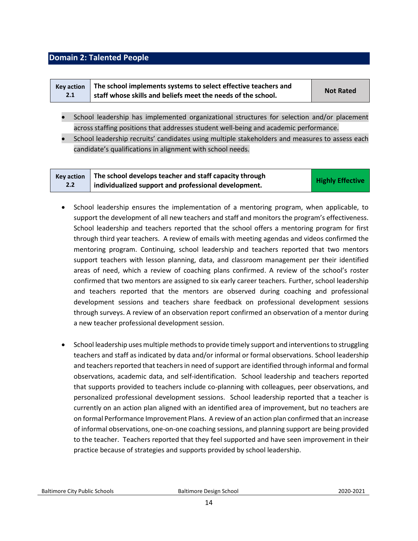#### <span id="page-13-0"></span>**Domain 2: Talented People**

|     | Key action   The school implements systems to select effective teachers and | <b>Not Rated</b> |
|-----|-----------------------------------------------------------------------------|------------------|
| 2.1 | staff whose skills and beliefs meet the needs of the school.                |                  |

- School leadership has implemented organizational structures for selection and/or placement across staffing positions that addresses student well-being and academic performance.
- School leadership recruits' candidates using multiple stakeholders and measures to assess each candidate's qualifications in alignment with school needs.

| <b>Kev action</b> | The school develops teacher and staff capacity through | <b>Highly Effective</b> |
|-------------------|--------------------------------------------------------|-------------------------|
| 2.2               | individualized support and professional development.   |                         |

- School leadership ensures the implementation of a mentoring program, when applicable, to support the development of all new teachers and staff and monitors the program's effectiveness. School leadership and teachers reported that the school offers a mentoring program for first through third year teachers. A review of emails with meeting agendas and videos confirmed the mentoring program. Continuing, school leadership and teachers reported that two mentors support teachers with lesson planning, data, and classroom management per their identified areas of need, which a review of coaching plans confirmed. A review of the school's roster confirmed that two mentors are assigned to six early career teachers. Further, school leadership and teachers reported that the mentors are observed during coaching and professional development sessions and teachers share feedback on professional development sessions through surveys. A review of an observation report confirmed an observation of a mentor during a new teacher professional development session.
- School leadership uses multiple methods to provide timely support and interventions to struggling teachers and staff as indicated by data and/or informal or formal observations. School leadership and teachers reported that teachers in need of support are identified through informal and formal observations, academic data, and self-identification. School leadership and teachers reported that supports provided to teachers include co-planning with colleagues, peer observations, and personalized professional development sessions. School leadership reported that a teacher is currently on an action plan aligned with an identified area of improvement, but no teachers are on formal Performance Improvement Plans. A review of an action plan confirmed that an increase of informal observations, one-on-one coaching sessions, and planning support are being provided to the teacher. Teachers reported that they feel supported and have seen improvement in their practice because of strategies and supports provided by school leadership.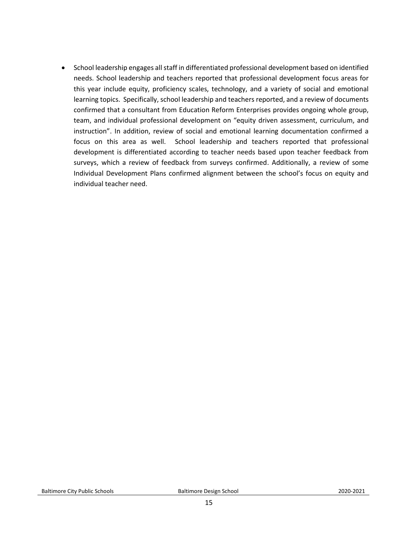• School leadership engages all staff in differentiated professional development based on identified needs. School leadership and teachers reported that professional development focus areas for this year include equity, proficiency scales, technology, and a variety of social and emotional learning topics. Specifically, school leadership and teachers reported, and a review of documents confirmed that a consultant from Education Reform Enterprises provides ongoing whole group, team, and individual professional development on "equity driven assessment, curriculum, and instruction". In addition, review of social and emotional learning documentation confirmed a focus on this area as well. School leadership and teachers reported that professional development is differentiated according to teacher needs based upon teacher feedback from surveys, which a review of feedback from surveys confirmed. Additionally, a review of some Individual Development Plans confirmed alignment between the school's focus on equity and individual teacher need.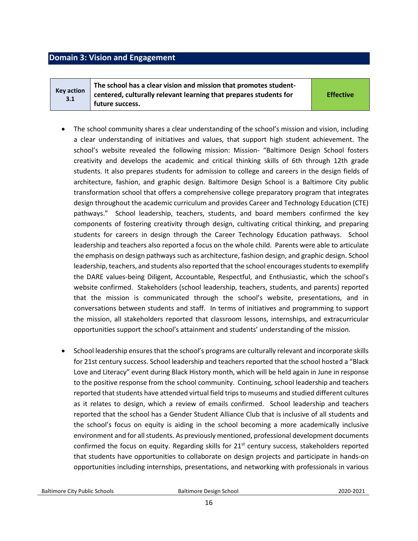#### <span id="page-15-0"></span>**Domain 3: Vision and Engagement**

**Key action 3.1 The school has a clear vision and mission that promotes studentcentered, culturally relevant learning that prepares students for future success.** 

**Effective**

- The school community shares a clear understanding of the school's mission and vision, including a clear understanding of initiatives and values, that support high student achievement. The school's website revealed the following mission: Mission- "Baltimore Design School fosters creativity and develops the academic and critical thinking skills of 6th through 12th grade students. It also prepares students for admission to college and careers in the design fields of architecture, fashion, and graphic design. Baltimore Design School is a Baltimore City public transformation school that offers a comprehensive college preparatory program that integrates design throughout the academic curriculum and provides Career and Technology Education (CTE) pathways." School leadership, teachers, students, and board members confirmed the key components of fostering creativity through design, cultivating critical thinking, and preparing students for careers in design through the Career Technology Education pathways. School leadership and teachers also reported a focus on the whole child. Parents were able to articulate the emphasis on design pathways such as architecture, fashion design, and graphic design. School leadership, teachers, and students also reported that the school encourages students to exemplify the DARE values-being Diligent, Accountable, Respectful, and Enthusiastic, which the school's website confirmed. Stakeholders (school leadership, teachers, students, and parents) reported that the mission is communicated through the school's website, presentations, and in conversations between students and staff. In terms of initiatives and programming to support the mission, all stakeholders reported that classroom lessons, internships, and extracurricular opportunities support the school's attainment and students' understanding of the mission.
- School leadership ensures that the school's programs are culturally relevant and incorporate skills for 21st century success. School leadership and teachers reported that the school hosted a "Black Love and Literacy" event during Black History month, which will be held again in June in response to the positive response from the school community. Continuing, school leadership and teachers reported that students have attended virtual field trips to museums and studied different cultures as it relates to design, which a review of emails confirmed. School leadership and teachers reported that the school has a Gender Student Alliance Club that is inclusive of all students and the school's focus on equity is aiding in the school becoming a more academically inclusive environment and for all students. As previously mentioned, professional development documents confirmed the focus on equity. Regarding skills for  $21^{st}$  century success, stakeholders reported that students have opportunities to collaborate on design projects and participate in hands-on opportunities including internships, presentations, and networking with professionals in various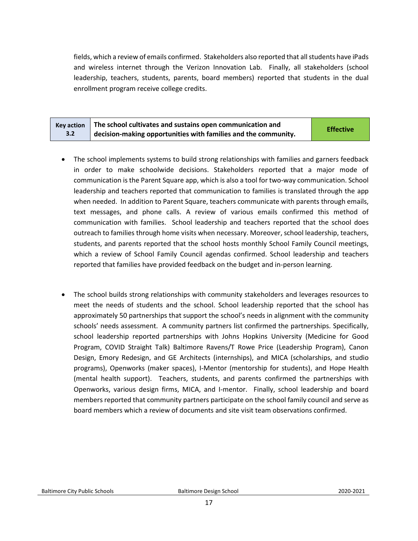fields, which a review of emails confirmed. Stakeholders also reported that all students have iPads and wireless internet through the Verizon Innovation Lab. Finally, all stakeholders (school leadership, teachers, students, parents, board members) reported that students in the dual enrollment program receive college credits.

| <b>Key action</b> | The school cultivates and sustains open communication and      | <b>Effective</b> |
|-------------------|----------------------------------------------------------------|------------------|
| $3.2^{\circ}$     | decision-making opportunities with families and the community. |                  |

- The school implements systems to build strong relationships with families and garners feedback in order to make schoolwide decisions. Stakeholders reported that a major mode of communication is the Parent Square app, which is also a tool for two-way communication. School leadership and teachers reported that communication to families is translated through the app when needed. In addition to Parent Square, teachers communicate with parents through emails, text messages, and phone calls. A review of various emails confirmed this method of communication with families. School leadership and teachers reported that the school does outreach to families through home visits when necessary. Moreover, school leadership, teachers, students, and parents reported that the school hosts monthly School Family Council meetings, which a review of School Family Council agendas confirmed. School leadership and teachers reported that families have provided feedback on the budget and in-person learning.
- The school builds strong relationships with community stakeholders and leverages resources to meet the needs of students and the school. School leadership reported that the school has approximately 50 partnerships that support the school's needs in alignment with the community schools' needs assessment. A community partners list confirmed the partnerships. Specifically, school leadership reported partnerships with Johns Hopkins University (Medicine for Good Program, COVID Straight Talk) Baltimore Ravens/T Rowe Price (Leadership Program), Canon Design, Emory Redesign, and GE Architects (internships), and MICA (scholarships, and studio programs), Openworks (maker spaces), I-Mentor (mentorship for students), and Hope Health (mental health support). Teachers, students, and parents confirmed the partnerships with Openworks, various design firms, MICA, and I-mentor. Finally, school leadership and board members reported that community partners participate on the school family council and serve as board members which a review of documents and site visit team observations confirmed.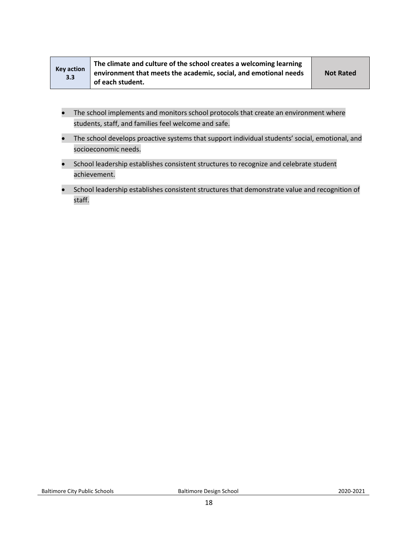| <b>Key action</b><br>3.3 | The climate and culture of the school creates a welcoming learning<br>environment that meets the academic, social, and emotional needs | <b>Not Rated</b> |
|--------------------------|----------------------------------------------------------------------------------------------------------------------------------------|------------------|
|                          |                                                                                                                                        |                  |
|                          | of each student.                                                                                                                       |                  |

- The school implements and monitors school protocols that create an environment where students, staff, and families feel welcome and safe.
- The school develops proactive systems that support individual students' social, emotional, and socioeconomic needs.
- School leadership establishes consistent structures to recognize and celebrate student achievement.
- School leadership establishes consistent structures that demonstrate value and recognition of staff.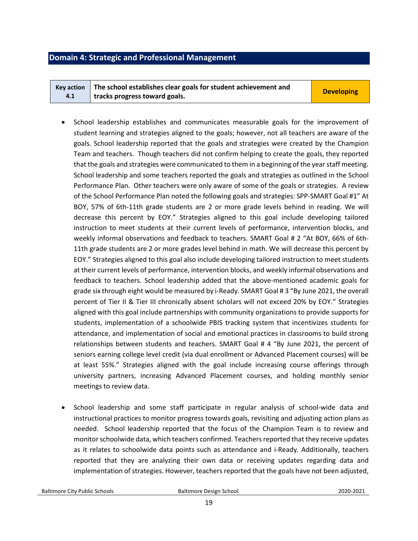#### <span id="page-18-0"></span>**Domain 4: Strategic and Professional Management**

| Key action $\parallel$ The school establishes clear goals for student achievement and |                   |
|---------------------------------------------------------------------------------------|-------------------|
| tracks progress toward goals.                                                         | <b>Developing</b> |

- School leadership establishes and communicates measurable goals for the improvement of student learning and strategies aligned to the goals; however, not all teachers are aware of the goals. School leadership reported that the goals and strategies were created by the Champion Team and teachers. Though teachers did not confirm helping to create the goals, they reported that the goals and strategies were communicated to them in a beginning of the year staff meeting. School leadership and some teachers reported the goals and strategies as outlined in the School Performance Plan. Other teachers were only aware of some of the goals or strategies. A review of the School Performance Plan noted the following goals and strategies: SPP-SMART Goal #1" At BOY, 57% of 6th-11th grade students are 2 or more grade levels behind in reading. We will decrease this percent by EOY." Strategies aligned to this goal include developing tailored instruction to meet students at their current levels of performance, intervention blocks, and weekly informal observations and feedback to teachers. SMART Goal # 2 "At BOY, 66% of 6th-11th grade students are 2 or more grades level behind in math. We will decrease this percent by EOY." Strategies aligned to this goal also include developing tailored instruction to meet students at their current levels of performance, intervention blocks, and weekly informal observations and feedback to teachers. School leadership added that the above-mentioned academic goals for grade six through eight would be measured by i-Ready. SMART Goal # 3 "By June 2021, the overall percent of Tier II & Tier III chronically absent scholars will not exceed 20% by EOY." Strategies aligned with this goal include partnerships with community organizations to provide supports for students, implementation of a schoolwide PBIS tracking system that incentivizes students for attendance, and implementation of social and emotional practices in classrooms to build strong relationships between students and teachers. SMART Goal # 4 "By June 2021, the percent of seniors earning college level credit (via dual enrollment or Advanced Placement courses) will be at least 55%." Strategies aligned with the goal include increasing course offerings through university partners, increasing Advanced Placement courses, and holding monthly senior meetings to review data.
- School leadership and some staff participate in regular analysis of school-wide data and instructional practices to monitor progress towards goals, revisiting and adjusting action plans as needed. School leadership reported that the focus of the Champion Team is to review and monitor schoolwide data, which teachers confirmed. Teachers reported that they receive updates as it relates to schoolwide data points such as attendance and i-Ready. Additionally, teachers reported that they are analyzing their own data or receiving updates regarding data and implementation of strategies. However, teachers reported that the goals have not been adjusted,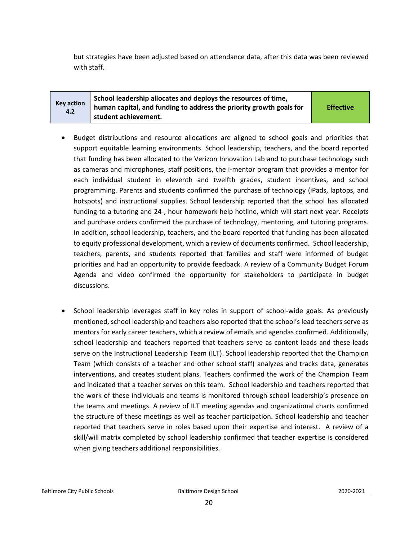but strategies have been adjusted based on attendance data, after this data was been reviewed with staff.

| <b>Key action</b><br>4.2 | School leadership allocates and deploys the resources of time,<br>human capital, and funding to address the priority growth goals for | <b>Effective</b> |
|--------------------------|---------------------------------------------------------------------------------------------------------------------------------------|------------------|
|                          | student achievement.                                                                                                                  |                  |

- Budget distributions and resource allocations are aligned to school goals and priorities that support equitable learning environments. School leadership, teachers, and the board reported that funding has been allocated to the Verizon Innovation Lab and to purchase technology such as cameras and microphones, staff positions, the i-mentor program that provides a mentor for each individual student in eleventh and twelfth grades, student incentives, and school programming. Parents and students confirmed the purchase of technology (iPads, laptops, and hotspots) and instructional supplies. School leadership reported that the school has allocated funding to a tutoring and 24-, hour homework help hotline, which will start next year. Receipts and purchase orders confirmed the purchase of technology, mentoring, and tutoring programs. In addition, school leadership, teachers, and the board reported that funding has been allocated to equity professional development, which a review of documents confirmed. School leadership, teachers, parents, and students reported that families and staff were informed of budget priorities and had an opportunity to provide feedback. A review of a Community Budget Forum Agenda and video confirmed the opportunity for stakeholders to participate in budget discussions.
- School leadership leverages staff in key roles in support of school-wide goals. As previously mentioned, school leadership and teachers also reported that the school's lead teachers serve as mentors for early career teachers, which a review of emails and agendas confirmed. Additionally, school leadership and teachers reported that teachers serve as content leads and these leads serve on the Instructional Leadership Team (ILT). School leadership reported that the Champion Team (which consists of a teacher and other school staff) analyzes and tracks data, generates interventions, and creates student plans. Teachers confirmed the work of the Champion Team and indicated that a teacher serves on this team. School leadership and teachers reported that the work of these individuals and teams is monitored through school leadership's presence on the teams and meetings. A review of ILT meeting agendas and organizational charts confirmed the structure of these meetings as well as teacher participation. School leadership and teacher reported that teachers serve in roles based upon their expertise and interest. A review of a skill/will matrix completed by school leadership confirmed that teacher expertise is considered when giving teachers additional responsibilities.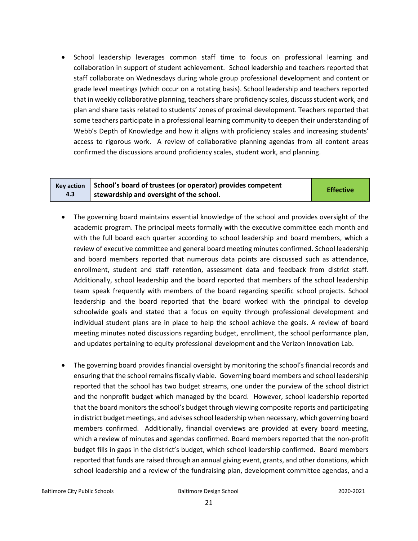• School leadership leverages common staff time to focus on professional learning and collaboration in support of student achievement. School leadership and teachers reported that staff collaborate on Wednesdays during whole group professional development and content or grade level meetings (which occur on a rotating basis). School leadership and teachers reported that in weekly collaborative planning, teachers share proficiency scales, discuss student work, and plan and share tasks related to students' zones of proximal development. Teachers reported that some teachers participate in a professional learning community to deepen their understanding of Webb's Depth of Knowledge and how it aligns with proficiency scales and increasing students' access to rigorous work. A review of collaborative planning agendas from all content areas confirmed the discussions around proficiency scales, student work, and planning.

#### **Key action 4.3 School's board of trustees (or operator) provides competent stewardship and oversight of the school. Effective**

- The governing board maintains essential knowledge of the school and provides oversight of the academic program. The principal meets formally with the executive committee each month and with the full board each quarter according to school leadership and board members, which a review of executive committee and general board meeting minutes confirmed. School leadership and board members reported that numerous data points are discussed such as attendance, enrollment, student and staff retention, assessment data and feedback from district staff. Additionally, school leadership and the board reported that members of the school leadership team speak frequently with members of the board regarding specific school projects. School leadership and the board reported that the board worked with the principal to develop schoolwide goals and stated that a focus on equity through professional development and individual student plans are in place to help the school achieve the goals. A review of board meeting minutes noted discussions regarding budget, enrollment, the school performance plan, and updates pertaining to equity professional development and the Verizon Innovation Lab.
- The governing board provides financial oversight by monitoring the school's financial records and ensuring that the school remains fiscally viable. Governing board members and school leadership reported that the school has two budget streams, one under the purview of the school district and the nonprofit budget which managed by the board. However, school leadership reported that the board monitors the school's budget through viewing composite reports and participating in district budget meetings, and advises school leadership when necessary, which governing board members confirmed. Additionally, financial overviews are provided at every board meeting, which a review of minutes and agendas confirmed. Board members reported that the non-profit budget fills in gaps in the district's budget, which school leadership confirmed. Board members reported that funds are raised through an annual giving event, grants, and other donations, which school leadership and a review of the fundraising plan, development committee agendas, and a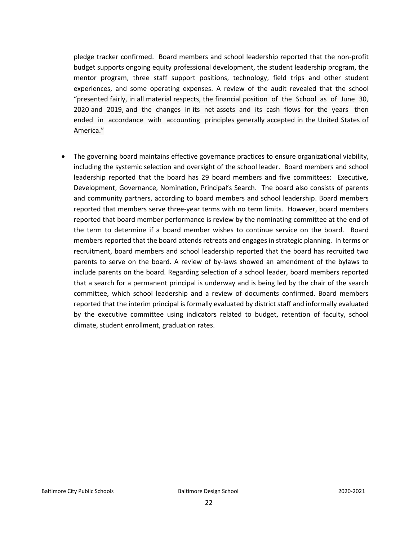pledge tracker confirmed. Board members and school leadership reported that the non-profit budget supports ongoing equity professional development, the student leadership program, the mentor program, three staff support positions, technology, field trips and other student experiences, and some operating expenses. A review of the audit revealed that the school "presented fairly, in all material respects, the financial position of the School as of June 30, 2020 and 2019, and the changes in its net assets and its cash flows for the years then ended in accordance with accounting principles generally accepted in the United States of America."

<span id="page-21-0"></span>• The governing board maintains effective governance practices to ensure organizational viability, including the systemic selection and oversight of the school leader. Board members and school leadership reported that the board has 29 board members and five committees: Executive, Development, Governance, Nomination, Principal's Search. The board also consists of parents and community partners, according to board members and school leadership. Board members reported that members serve three-year terms with no term limits. However, board members reported that board member performance is review by the nominating committee at the end of the term to determine if a board member wishes to continue service on the board. Board members reported that the board attends retreats and engages in strategic planning. In terms or recruitment, board members and school leadership reported that the board has recruited two parents to serve on the board. A review of by-laws showed an amendment of the bylaws to include parents on the board. Regarding selection of a school leader, board members reported that a search for a permanent principal is underway and is being led by the chair of the search committee, which school leadership and a review of documents confirmed. Board members reported that the interim principal is formally evaluated by district staff and informally evaluated by the executive committee using indicators related to budget, retention of faculty, school climate, student enrollment, graduation rates.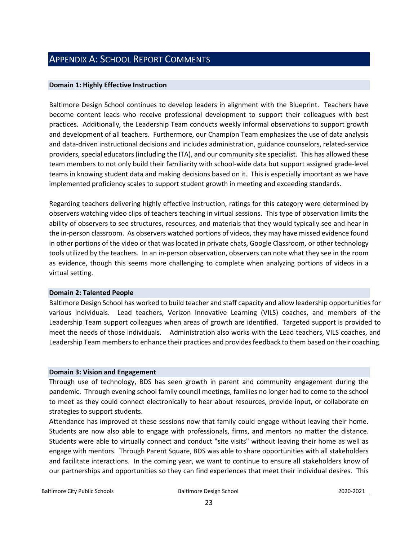#### APPENDIX A: SCHOOL REPORT COMMENTS

#### **Domain 1: Highly Effective Instruction**

Baltimore Design School continues to develop leaders in alignment with the Blueprint. Teachers have become content leads who receive professional development to support their colleagues with best practices. Additionally, the Leadership Team conducts weekly informal observations to support growth and development of all teachers. Furthermore, our Champion Team emphasizes the use of data analysis and data-driven instructional decisions and includes administration, guidance counselors, related-service providers, special educators (including the ITA), and our community site specialist. This has allowed these team members to not only build their familiarity with school-wide data but support assigned grade-level teams in knowing student data and making decisions based on it. This is especially important as we have implemented proficiency scales to support student growth in meeting and exceeding standards.

Regarding teachers delivering highly effective instruction, ratings for this category were determined by observers watching video clips of teachers teaching in virtual sessions. This type of observation limits the ability of observers to see structures, resources, and materials that they would typically see and hear in the in-person classroom. As observers watched portions of videos, they may have missed evidence found in other portions of the video or that was located in private chats, Google Classroom, or other technology tools utilized by the teachers. In an in-person observation, observers can note what they see in the room as evidence, though this seems more challenging to complete when analyzing portions of videos in a virtual setting.

#### **Domain 2: Talented People**

Baltimore Design School has worked to build teacher and staff capacity and allow leadership opportunities for various individuals. Lead teachers, Verizon Innovative Learning (VILS) coaches, and members of the Leadership Team support colleagues when areas of growth are identified. Targeted support is provided to meet the needs of those individuals. Administration also works with the Lead teachers, VILS coaches, and Leadership Team members to enhance their practices and provides feedback to them based on their coaching.

#### **Domain 3: Vision and Engagement**

Through use of technology, BDS has seen growth in parent and community engagement during the pandemic. Through evening school family council meetings, families no longer had to come to the school to meet as they could connect electronically to hear about resources, provide input, or collaborate on strategies to support students.

Attendance has improved at these sessions now that family could engage without leaving their home. Students are now also able to engage with professionals, firms, and mentors no matter the distance. Students were able to virtually connect and conduct "site visits" without leaving their home as well as engage with mentors. Through Parent Square, BDS was able to share opportunities with all stakeholders and facilitate interactions. In the coming year, we want to continue to ensure all stakeholders know of our partnerships and opportunities so they can find experiences that meet their individual desires. This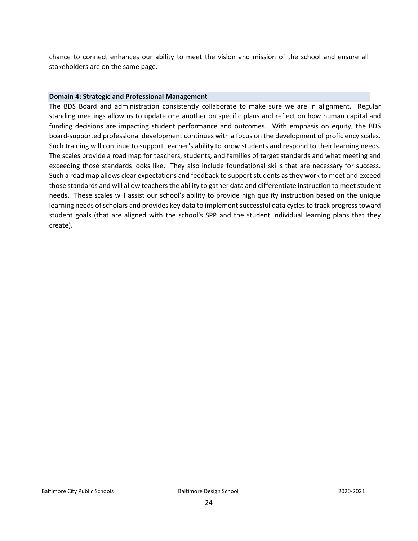chance to connect enhances our ability to meet the vision and mission of the school and ensure all stakeholders are on the same page.

#### **Domain 4: Strategic and Professional Management**

The BDS Board and administration consistently collaborate to make sure we are in alignment. Regular standing meetings allow us to update one another on specific plans and reflect on how human capital and funding decisions are impacting student performance and outcomes. With emphasis on equity, the BDS board-supported professional development continues with a focus on the development of proficiency scales. Such training will continue to support teacher's ability to know students and respond to their learning needs. The scales provide a road map for teachers, students, and families of target standards and what meeting and exceeding those standards looks like. They also include foundational skills that are necessary for success. Such a road map allows clear expectations and feedback to support students as they work to meet and exceed those standards and will allow teachers the ability to gather data and differentiate instruction to meet student needs. These scales will assist our school's ability to provide high quality instruction based on the unique learning needs of scholars and provides key data to implement successful data cycles to track progress toward student goals (that are aligned with the school's SPP and the student individual learning plans that they create).